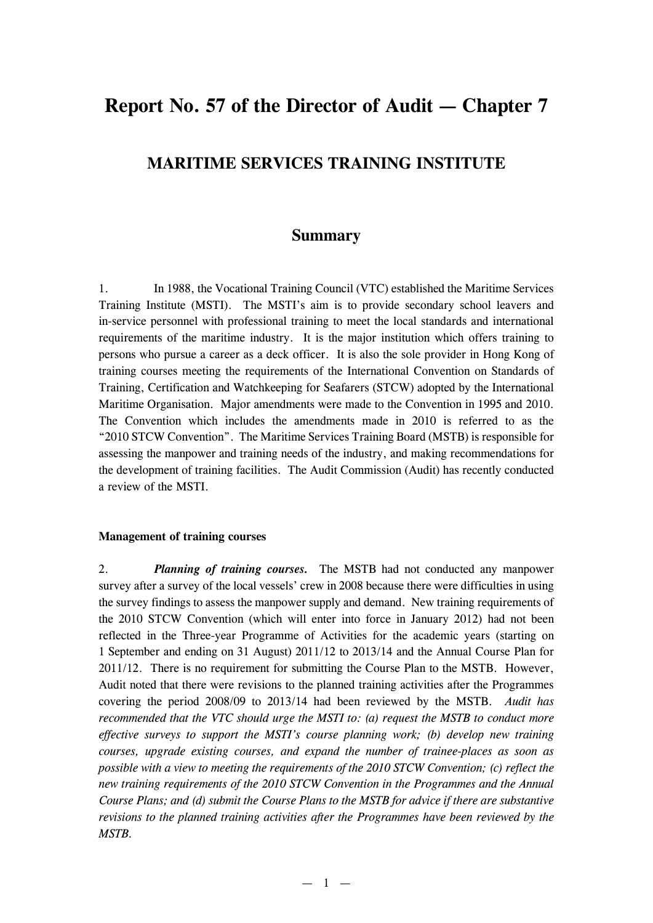# **Report No. 57 of the Director of Audit — Chapter 7**

# **MARITIME SERVICES TRAINING INSTITUTE**

# **Summary**

1. In 1988, the Vocational Training Council (VTC) established the Maritime Services Training Institute (MSTI). The MSTI's aim is to provide secondary school leavers and in-service personnel with professional training to meet the local standards and international requirements of the maritime industry. It is the major institution which offers training to persons who pursue a career as a deck officer. It is also the sole provider in Hong Kong of training courses meeting the requirements of the International Convention on Standards of Training, Certification and Watchkeeping for Seafarers (STCW) adopted by the International Maritime Organisation. Major amendments were made to the Convention in 1995 and 2010. The Convention which includes the amendments made in 2010 is referred to as the "2010 STCW Convention". The Maritime Services Training Board (MSTB) is responsible for assessing the manpower and training needs of the industry, and making recommendations for the development of training facilities. The Audit Commission (Audit) has recently conducted a review of the MSTI.

### **Management of training courses**

2. *Planning of training courses.* The MSTB had not conducted any manpower survey after a survey of the local vessels' crew in 2008 because there were difficulties in using the survey findings to assess the manpower supply and demand. New training requirements of the 2010 STCW Convention (which will enter into force in January 2012) had not been reflected in the Three-year Programme of Activities for the academic years (starting on 1 September and ending on 31 August) 2011/12 to 2013/14 and the Annual Course Plan for 2011/12. There is no requirement for submitting the Course Plan to the MSTB. However, Audit noted that there were revisions to the planned training activities after the Programmes covering the period 2008/09 to 2013/14 had been reviewed by the MSTB. *Audit has recommended that the VTC should urge the MSTI to: (a) request the MSTB to conduct more effective surveys to support the MSTI's course planning work; (b) develop new training courses, upgrade existing courses, and expand the number of trainee-places as soon as possible with a view to meeting the requirements of the 2010 STCW Convention; (c) reflect the new training requirements of the 2010 STCW Convention in the Programmes and the Annual Course Plans; and (d) submit the Course Plans to the MSTB for advice if there are substantive revisions to the planned training activities after the Programmes have been reviewed by the MSTB.*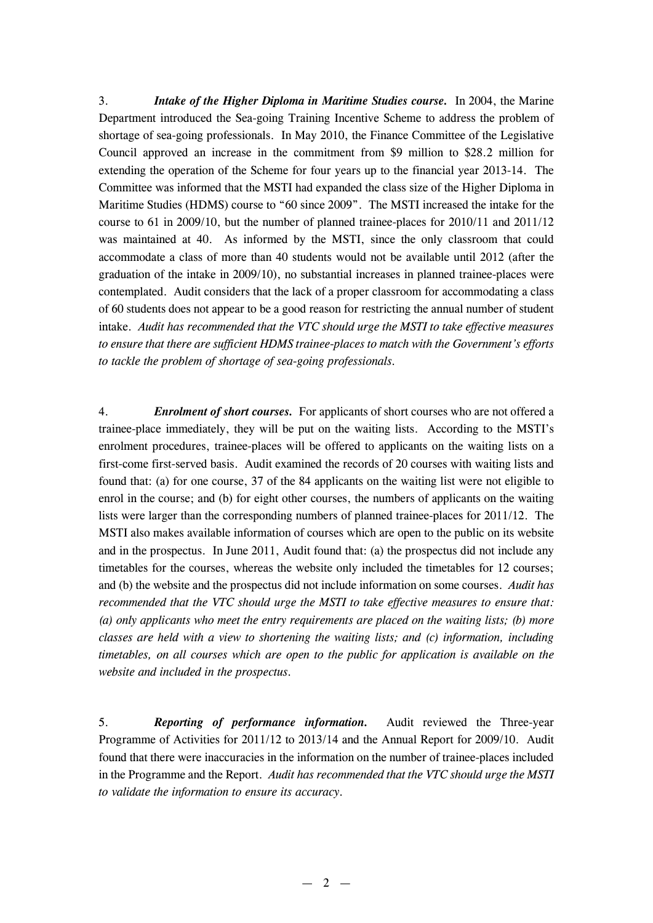3. *Intake of the Higher Diploma in Maritime Studies course.* In 2004, the Marine Department introduced the Sea-going Training Incentive Scheme to address the problem of shortage of sea-going professionals. In May 2010, the Finance Committee of the Legislative Council approved an increase in the commitment from \$9 million to \$28.2 million for extending the operation of the Scheme for four years up to the financial year 2013-14. The Committee was informed that the MSTI had expanded the class size of the Higher Diploma in Maritime Studies (HDMS) course to "60 since 2009". The MSTI increased the intake for the course to 61 in 2009/10, but the number of planned trainee-places for 2010/11 and 2011/12 was maintained at 40. As informed by the MSTI, since the only classroom that could accommodate a class of more than 40 students would not be available until 2012 (after the graduation of the intake in 2009/10), no substantial increases in planned trainee-places were contemplated. Audit considers that the lack of a proper classroom for accommodating a class of 60 students does not appear to be a good reason for restricting the annual number of student intake. *Audit has recommended that the VTC should urge the MSTI to take effective measures to ensure that there are sufficient HDMS trainee-places to match with the Government's efforts to tackle the problem of shortage of sea-going professionals.*

4. *Enrolment of short courses.* For applicants of short courses who are not offered a trainee-place immediately, they will be put on the waiting lists. According to the MSTI's enrolment procedures, trainee-places will be offered to applicants on the waiting lists on a first-come first-served basis. Audit examined the records of 20 courses with waiting lists and found that: (a) for one course, 37 of the 84 applicants on the waiting list were not eligible to enrol in the course; and (b) for eight other courses, the numbers of applicants on the waiting lists were larger than the corresponding numbers of planned trainee-places for 2011/12. The MSTI also makes available information of courses which are open to the public on its website and in the prospectus. In June 2011, Audit found that: (a) the prospectus did not include any timetables for the courses, whereas the website only included the timetables for 12 courses; and (b) the website and the prospectus did not include information on some courses. *Audit has recommended that the VTC should urge the MSTI to take effective measures to ensure that: (a) only applicants who meet the entry requirements are placed on the waiting lists; (b) more classes are held with a view to shortening the waiting lists; and (c) information, including timetables, on all courses which are open to the public for application is available on the website and included in the prospectus.* 

5. *Reporting of performance information.* Audit reviewed the Three-year Programme of Activities for 2011/12 to 2013/14 and the Annual Report for 2009/10. Audit found that there were inaccuracies in the information on the number of trainee-places included in the Programme and the Report. *Audit has recommended that the VTC should urge the MSTI to validate the information to ensure its accuracy.*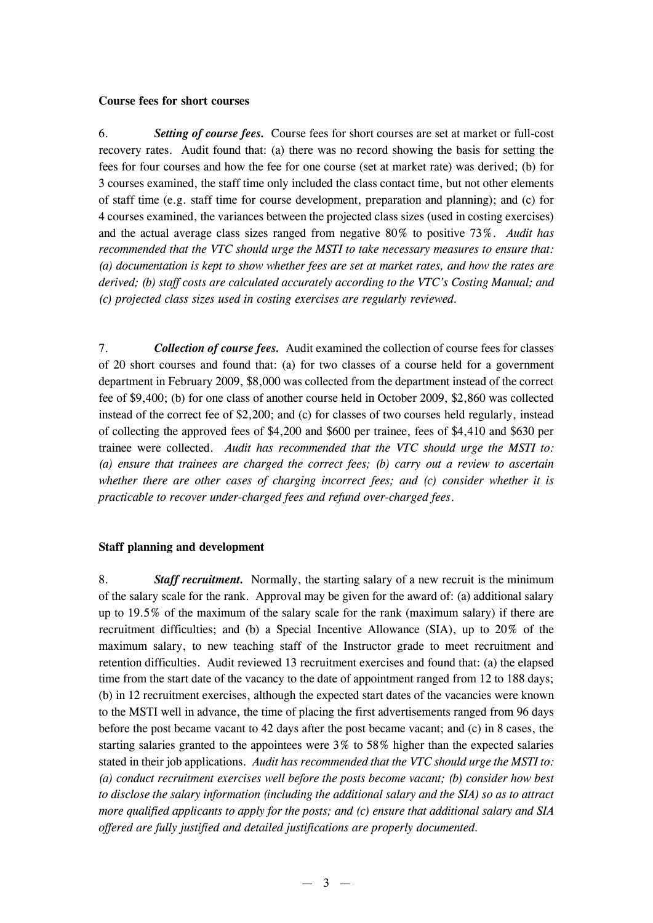#### **Course fees for short courses**

6. *Setting of course fees.* Course fees for short courses are set at market or full-cost recovery rates. Audit found that: (a) there was no record showing the basis for setting the fees for four courses and how the fee for one course (set at market rate) was derived; (b) for 3 courses examined, the staff time only included the class contact time, but not other elements of staff time (e.g. staff time for course development, preparation and planning); and (c) for 4 courses examined, the variances between the projected class sizes (used in costing exercises) and the actual average class sizes ranged from negative 80% to positive 73%. *Audit has recommended that the VTC should urge the MSTI to take necessary measures to ensure that: (a) documentation is kept to show whether fees are set at market rates, and how the rates are derived; (b) staff costs are calculated accurately according to the VTC's Costing Manual; and (c) projected class sizes used in costing exercises are regularly reviewed.* 

7. *Collection of course fees.* Audit examined the collection of course fees for classes of 20 short courses and found that: (a) for two classes of a course held for a government department in February 2009, \$8,000 was collected from the department instead of the correct fee of \$9,400; (b) for one class of another course held in October 2009, \$2,860 was collected instead of the correct fee of \$2,200; and (c) for classes of two courses held regularly, instead of collecting the approved fees of \$4,200 and \$600 per trainee, fees of \$4,410 and \$630 per trainee were collected. *Audit has recommended that the VTC should urge the MSTI to: (a) ensure that trainees are charged the correct fees; (b) carry out a review to ascertain whether there are other cases of charging incorrect fees; and (c) consider whether it is practicable to recover under-charged fees and refund over-charged fees*.

#### **Staff planning and development**

8. *Staff recruitment.* Normally, the starting salary of a new recruit is the minimum of the salary scale for the rank. Approval may be given for the award of: (a) additional salary up to 19.5% of the maximum of the salary scale for the rank (maximum salary) if there are recruitment difficulties; and (b) a Special Incentive Allowance (SIA), up to 20% of the maximum salary, to new teaching staff of the Instructor grade to meet recruitment and retention difficulties. Audit reviewed 13 recruitment exercises and found that: (a) the elapsed time from the start date of the vacancy to the date of appointment ranged from 12 to 188 days; (b) in 12 recruitment exercises, although the expected start dates of the vacancies were known to the MSTI well in advance, the time of placing the first advertisements ranged from 96 days before the post became vacant to 42 days after the post became vacant; and (c) in 8 cases, the starting salaries granted to the appointees were 3% to 58% higher than the expected salaries stated in their job applications. *Audit has recommended that the VTC should urge the MSTI to: (a) conduct recruitment exercises well before the posts become vacant; (b) consider how best to disclose the salary information (including the additional salary and the SIA) so as to attract more qualified applicants to apply for the posts; and (c) ensure that additional salary and SIA offered are fully justified and detailed justifications are properly documented.*